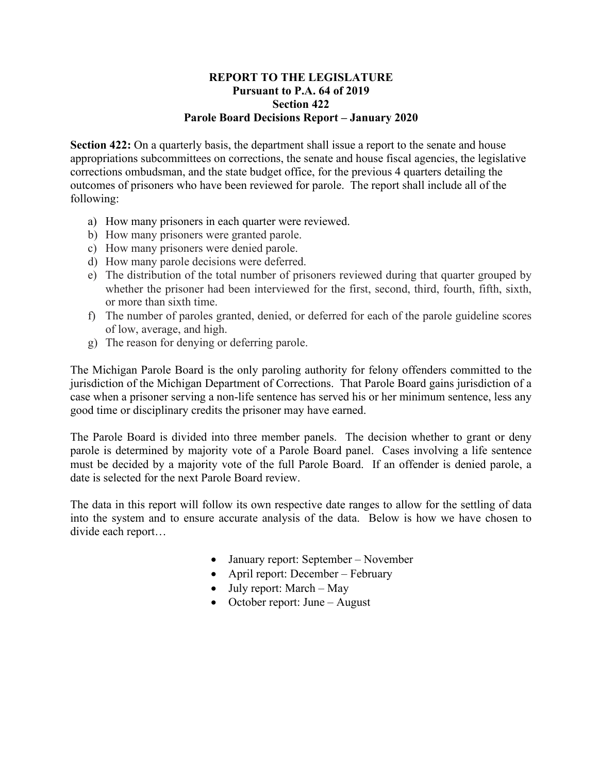## **REPORT TO THE LEGISLATURE Pursuant to P.A. 64 of 2019 Section 422 Parole Board Decisions Report – January 2020**

**Section 422:** On a quarterly basis, the department shall issue a report to the senate and house appropriations subcommittees on corrections, the senate and house fiscal agencies, the legislative corrections ombudsman, and the state budget office, for the previous 4 quarters detailing the outcomes of prisoners who have been reviewed for parole. The report shall include all of the following:

- a) How many prisoners in each quarter were reviewed.
- b) How many prisoners were granted parole.
- c) How many prisoners were denied parole.
- d) How many parole decisions were deferred.
- e) The distribution of the total number of prisoners reviewed during that quarter grouped by whether the prisoner had been interviewed for the first, second, third, fourth, fifth, sixth, or more than sixth time.
- f) The number of paroles granted, denied, or deferred for each of the parole guideline scores of low, average, and high.
- g) The reason for denying or deferring parole.

The Michigan Parole Board is the only paroling authority for felony offenders committed to the jurisdiction of the Michigan Department of Corrections. That Parole Board gains jurisdiction of a case when a prisoner serving a non-life sentence has served his or her minimum sentence, less any good time or disciplinary credits the prisoner may have earned.

The Parole Board is divided into three member panels. The decision whether to grant or deny parole is determined by majority vote of a Parole Board panel. Cases involving a life sentence must be decided by a majority vote of the full Parole Board. If an offender is denied parole, a date is selected for the next Parole Board review.

The data in this report will follow its own respective date ranges to allow for the settling of data into the system and to ensure accurate analysis of the data. Below is how we have chosen to divide each report…

- January report: September November
- April report: December February
- July report: March May
- October report: June August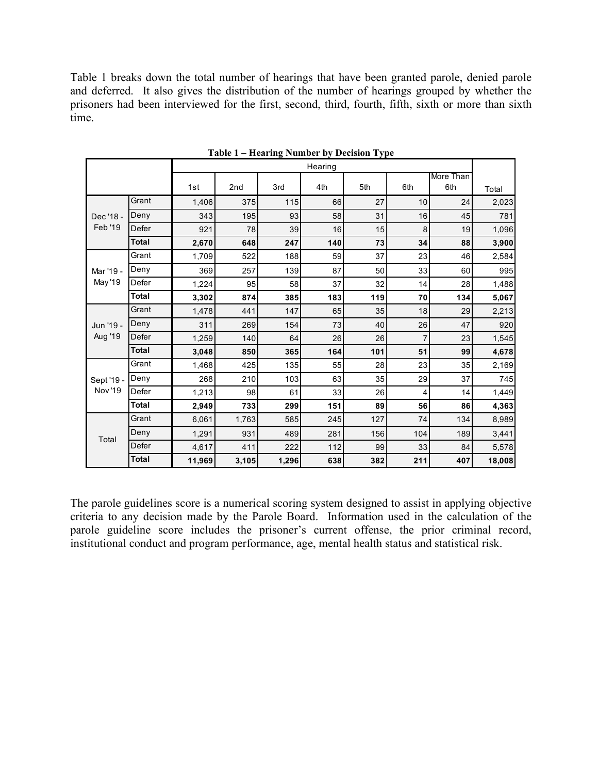Table 1 breaks down the total number of hearings that have been granted parole, denied parole and deferred. It also gives the distribution of the number of hearings grouped by whether the prisoners had been interviewed for the first, second, third, fourth, fifth, sixth or more than sixth time.

|                             |              |         | Table 1 – Hearing Number by Decision Type |       |     |     |                 |                  |        |
|-----------------------------|--------------|---------|-------------------------------------------|-------|-----|-----|-----------------|------------------|--------|
|                             |              | Hearing |                                           |       |     |     |                 |                  |        |
|                             |              | 1st     | 2 <sub>nd</sub>                           | 3rd   | 4th | 5th | 6th             | More Than<br>6th | Total  |
| Dec '18 -<br>Feb '19        | Grant        | 1,406   | 375                                       | 115   | 66  | 27  | 10 <sup>1</sup> | 24               | 2,023  |
|                             | Deny         | 343     | 195                                       | 93    | 58  | 31  | 16              | 45               | 781    |
|                             | Defer        | 921     | 78                                        | 39    | 16  | 15  | 8               | 19               | 1,096  |
|                             | <b>Total</b> | 2,670   | 648                                       | 247   | 140 | 73  | 34              | 88               | 3,900  |
| Mar '19 -<br>May '19        | Grant        | 1,709   | 522                                       | 188   | 59  | 37  | 23              | 46               | 2,584  |
|                             | Deny         | 369     | 257                                       | 139   | 87  | 50  | 33              | 60               | 995    |
|                             | Defer        | 1,224   | 95                                        | 58    | 37  | 32  | 14              | 28               | 1,488  |
|                             | <b>Total</b> | 3,302   | 874                                       | 385   | 183 | 119 | 70              | 134              | 5,067  |
|                             | Grant        | 1,478   | 441                                       | 147   | 65  | 35  | 18              | 29               | 2,213  |
| Jun '19 -                   | Deny         | 311     | 269                                       | 154   | 73  | 40  | 26              | 47               | 920    |
| Aug '19                     | Defer        | 1,259   | 140                                       | 64    | 26  | 26  | $\overline{7}$  | 23               | 1,545  |
|                             | <b>Total</b> | 3,048   | 850                                       | 365   | 164 | 101 | 51              | 99               | 4,678  |
|                             | Grant        | 1,468   | 425                                       | 135   | 55  | 28  | 23              | 35               | 2,169  |
| Sept '19 -<br><b>Nov'19</b> | Deny         | 268     | 210                                       | 103   | 63  | 35  | 29              | 37               | 745    |
|                             | Defer        | 1,213   | 98                                        | 61    | 33  | 26  | 4               | 14               | 1,449  |
|                             | Total        | 2,949   | 733                                       | 299   | 151 | 89  | 56              | 86               | 4,363  |
|                             | Grant        | 6,061   | 1,763                                     | 585   | 245 | 127 | 74              | 134              | 8,989  |
| Total                       | Deny         | 1,291   | 931                                       | 489   | 281 | 156 | 104             | 189              | 3,441  |
|                             | Defer        | 4,617   | 411                                       | 222   | 112 | 99  | 33              | 84               | 5,578  |
|                             | <b>Total</b> | 11,969  | 3,105                                     | 1,296 | 638 | 382 | 211             | 407              | 18,008 |

**Table 1 – Hearing Number by Decision Type**

The parole guidelines score is a numerical scoring system designed to assist in applying objective criteria to any decision made by the Parole Board. Information used in the calculation of the parole guideline score includes the prisoner's current offense, the prior criminal record, institutional conduct and program performance, age, mental health status and statistical risk.